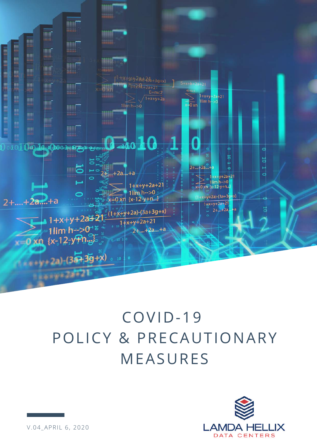

## COVID-19 POLICY & PRECAUTIONARY MEASURES

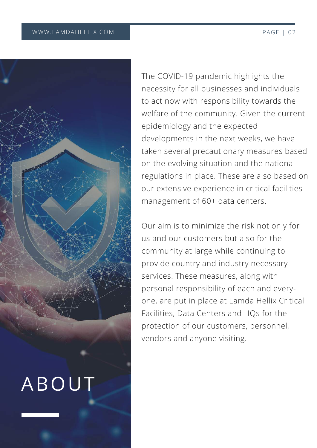



The COVID-19 pandemic highlights the necessity for all businesses and individuals to act now with responsibility towards the welfare of the community. Given the current epidemiology and the expected developments in the next weeks, we have taken several precautionary measures based on the evolving situation and the national regulations in place. These are also based on our extensive experience in critical facilities management of 60+ data centers.

Our aim is to minimize the risk not only for us and our customers but also for the community at large while continuing to provide country and industry necessary services. These measures, along with personal responsibility of each and everyone, are put in place at Lamda Hellix Critical Facilities, Data Centers and HQs for the protection of our customers, personnel, vendors and anyone visiting.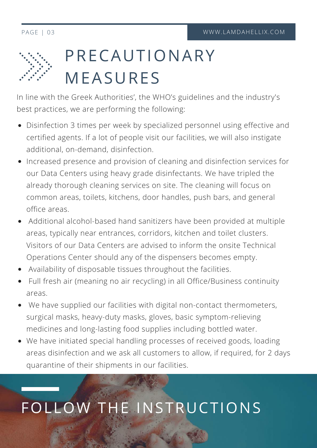

## PRECAUTIONARY MEASURES

In line with the Greek Authorities', the WHO's guidelines and the industry's best practices, we are performing the following:

- Disinfection 3 times per week by specialized personnel using effective and certified agents. If a lot of people visit our facilities, we will also instigate additional, on-demand, disinfection.
- Increased presence and provision of cleaning and disinfection services for our Data Centers using heavy grade disinfectants. We have tripled the already thorough cleaning services on site. The cleaning will focus on common areas, toilets, kitchens, door handles, push bars, and general office areas.
- Additional alcohol-based hand sanitizers have been provided at multiple areas, typically near entrances, corridors, kitchen and toilet clusters. Visitors of our Data Centers are advised to inform the onsite Technical Operations Center should any of the dispensers becomes empty.
- Availability of disposable tissues throughout the facilities.
- Full fresh air (meaning no air recycling) in all Office/Business continuity areas.
- We have supplied our facilities with digital non-contact thermometers, surgical masks, heavy-duty masks, gloves, basic symptom-relieving medicines and long-lasting food supplies including bottled water.
- We have initiated special handling processes of received goods, loading areas disinfection and we ask all customers to allow, if required, for 2 days quarantine of their shipments in our facilities.

## FOLLOW THE INSTRUCTIONS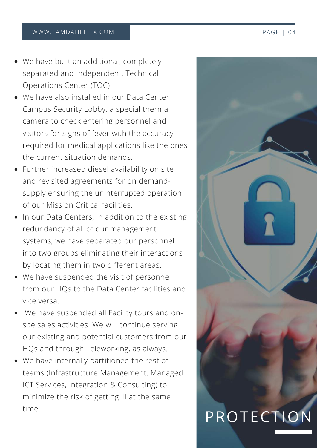- We have built an additional, completely separated and independent, Technical Operations Center (TOC)
- We have also installed in our Data Center Campus Security Lobby, a special thermal camera to check entering personnel and visitors for signs of fever with the accuracy required for medical applications like the ones the current situation demands.
- Further increased diesel availability on site and revisited agreements for on demandsupply ensuring the uninterrupted operation of our Mission Critical facilities.
- In our Data Centers, in addition to the existing redundancy of all of our management systems, we have separated our personnel into two groups eliminating their interactions by locating them in two different areas.
- We have suspended the visit of personnel from our HQs to the Data Center facilities and vice versa.
- We have suspended all Facility tours and onsite sales activities. We will continue serving our existing and potential customers from our HQs and through Teleworking, as always.
- We have internally partitioned the rest of teams (Infrastructure Management, Managed ICT Services, Integration & Consulting) to minimize the risk of getting ill at the same time.

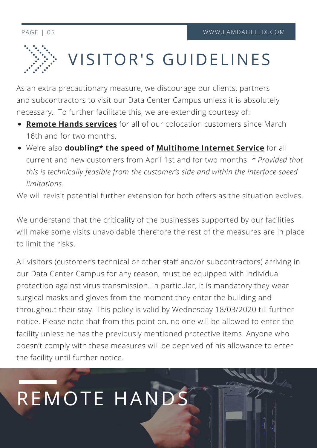

# VISITOR'S GUIDELINES

As an extra precautionary measure, we discourage our clients, partners and subcontractors to visit our Data Center Campus unless it is absolutely necessary. To further facilitate this, we are extending courtesy of:

- **Remote Hands [services](https://lamdahellix.com/services/in-our-data-centers/support-services)** for all of our colocation customers since March 16th and for two months.
- We're also **doubling\* the speed of [Multihome](https://lamdahellix.com/services/in-our-data-centers/multihome-internet-connectivity) Internet Service** for all current and new customers from April 1st and for two months. *\* Provided that this is technically feasible from the customer's side and within the interface speed limitations.*

We will revisit potential further extension for both offers as the situation evolves.

We understand that the criticality of the businesses supported by our facilities will make some visits unavoidable therefore the rest of the measures are in place to limit the risks.

All visitors (customer's technical or other staff and/or subcontractors) arriving in our Data Center Campus for any reason, must be equipped with individual protection against virus transmission. In particular, it is mandatory they wear surgical masks and gloves from the moment they enter the building and throughout their stay. This policy is valid by Wednesday 18/03/2020 till further notice. Please note that from this point on, no one will be allowed to enter the facility unless he has the previously mentioned protective items. Anyone who doesn't comply with these measures will be deprived of his allowance to enter the facility until further notice.

REMOTE HANDS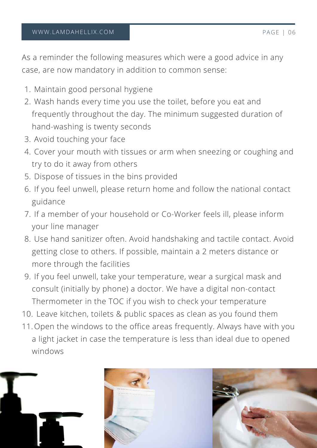As a reminder the following measures which were a good advice in any case, are now mandatory in addition to common sense:

- Maintain good personal hygiene 1.
- Wash hands every time you use the toilet, before you eat and 2. frequently throughout the day. The minimum suggested duration of hand-washing is twenty seconds
- Avoid touching your face 3.
- Cover your mouth with tissues or arm when sneezing or coughing and 4. try to do it away from others
- 5. Dispose of tissues in the bins provided
- 6. If you feel unwell, please return home and follow the national contact guidance
- If a member of your household or Co-Worker feels ill, please inform 7. your line manager
- Use hand sanitizer often. Avoid handshaking and tactile contact. Avoid 8. getting close to others. If possible, maintain a 2 meters distance or more through the facilities
- If you feel unwell, take your temperature, wear a surgical mask and 9. consult (initially by phone) a doctor. We have a digital non-contact Thermometer in the TOC if you wish to check your temperature
- 10. Leave kitchen, toilets & public spaces as clean as you found them
- 11. Open the windows to the office areas frequently. Always have with you a light jacket in case the temperature is less than ideal due to opened windows

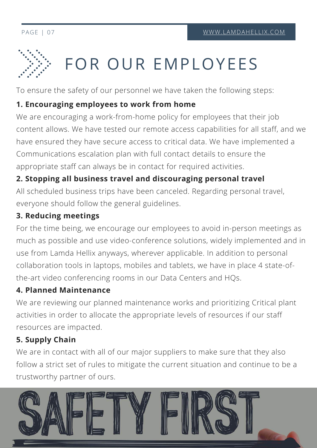# FOR OUR EMPLOYEES

To ensure the safety of our personnel we have taken the following steps:

### **1. Encouraging employees to work from home**

We are encouraging a work-from-home policy for employees that their job content allows. We have tested our remote access capabilities for all staff, and we have ensured they have secure access to critical data. We have implemented a Communications escalation plan with full contact details to ensure the appropriate staff can always be in contact for required activities.

### **2. Stopping all business travel and discouraging personal travel**

All scheduled business trips have been canceled. Regarding personal travel, everyone should follow the general guidelines.

### **3. Reducing meetings**

For the time being, we encourage our employees to avoid in-person meetings as much as possible and use video-conference solutions, widely implemented and in use from Lamda Hellix anyways, wherever applicable. In addition to personal collaboration tools in laptops, mobiles and tablets, we have in place 4 state-ofthe-art video conferencing rooms in our Data Centers and HQs.

### **4. Planned Maintenance**

We are reviewing our planned maintenance works and prioritizing Critical plant activities in order to allocate the appropriate levels of resources if our staff resources are impacted.

## **5. Supply Chain**

We are in contact with all of our major suppliers to make sure that they also follow a strict set of rules to mitigate the current situation and continue to be a trustworthy partner of ours.

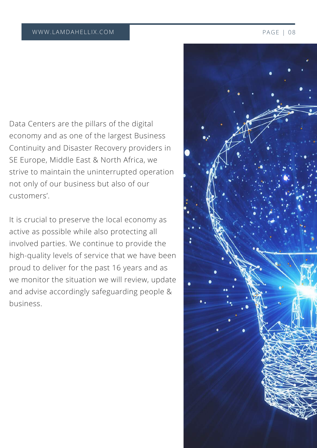Data Centers are the pillars of the digital economy and as one of the largest Business Continuity and Disaster Recovery providers in SE Europe, Middle East & North Africa, we strive to maintain the uninterrupted operation not only of our business but also of our customers'.

It is crucial to preserve the local economy as active as possible while also protecting all involved parties. We continue to provide the high-quality levels of service that we have been proud to deliver for the past 16 years and as we monitor the situation we will review, update and advise accordingly safeguarding people & business.